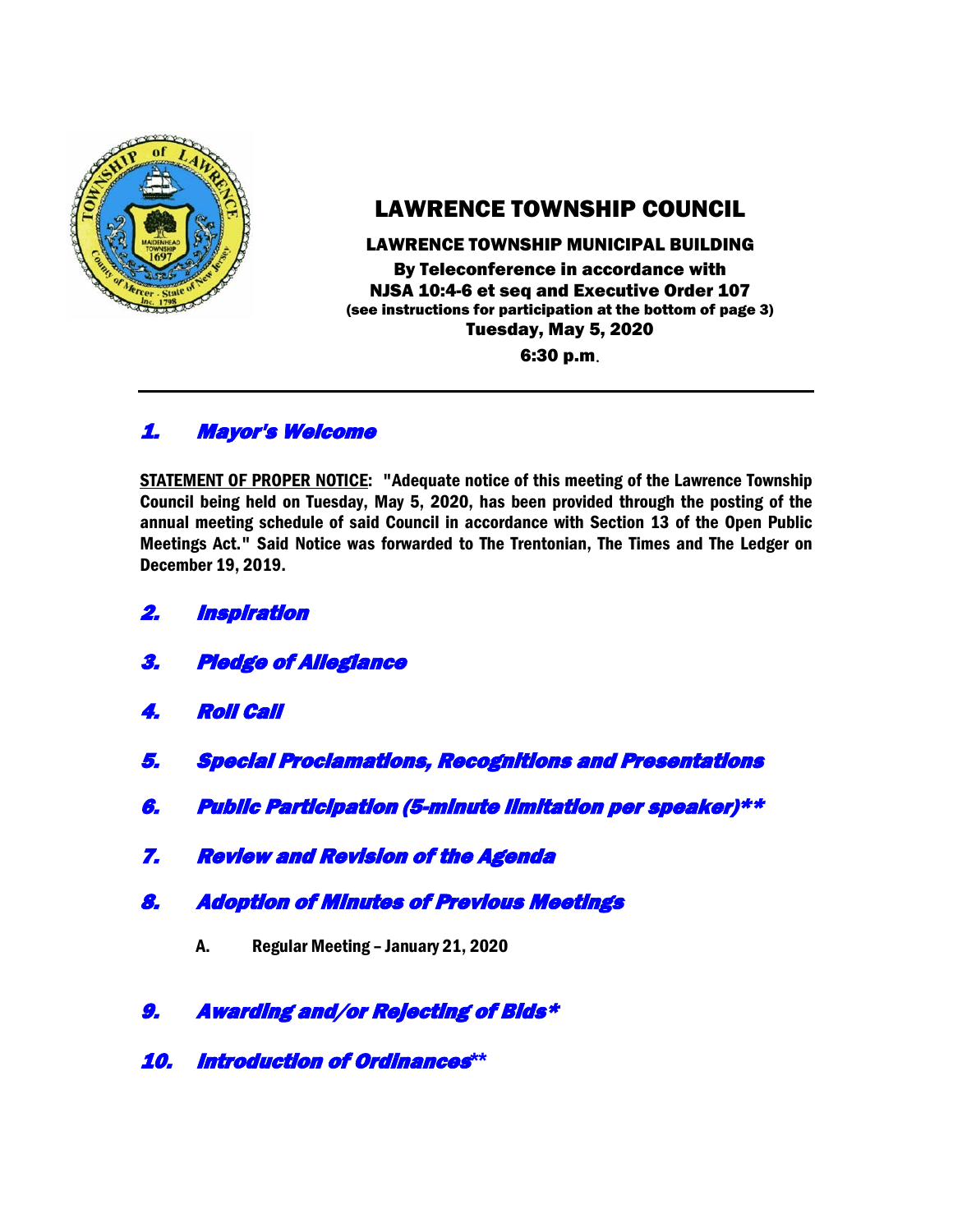

# LAWRENCE TOWNSHIP COUNCIL

#### LAWRENCE TOWNSHIP MUNICIPAL BUILDING

By Teleconference in accordance with NJSA 10:4-6 et seq and Executive Order 107 (see instructions for participation at the bottom of page 3) Tuesday, May 5, 2020 6:30 p.m.

## 1. Mayor's Welcome

STATEMENT OF PROPER NOTICE: "Adequate notice of this meeting of the Lawrence Township Council being held on Tuesday, May 5, 2020, has been provided through the posting of the annual meeting schedule of said Council in accordance with Section 13 of the Open Public Meetings Act." Said Notice was forwarded to The Trentonian, The Times and The Ledger on December 19, 2019.

- 2. Inspiration
- 3. Pledge of Allegiance
- 4. Roll Call
- 5. Special Proclamations, Recognitions and Presentations
- 6. Public Participation (5-minute limitation per speaker)\*\*
- 7. Review and Revision of the Agenda
- 8. Adoption of Minutes of Previous Meetings
	- A. Regular Meeting January 21, 2020
- 9. Awarding and/or Rejecting of Bids\*
- 10. Introduction of Ordinances**\*\***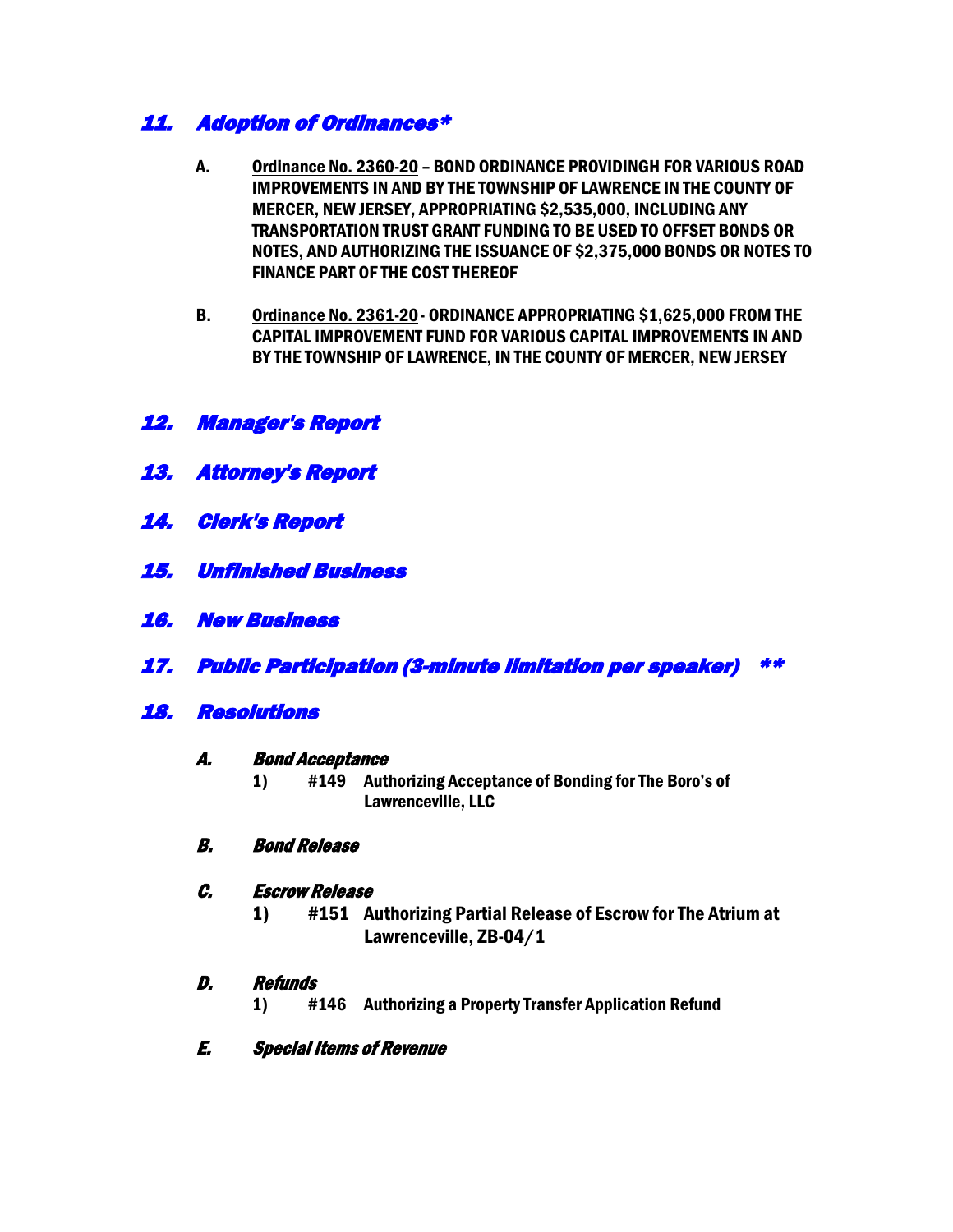## 11. Adoption of Ordinances\*

- A. Ordinance No. 2360-20 BOND ORDINANCE PROVIDINGH FOR VARIOUS ROAD IMPROVEMENTS IN AND BY THE TOWNSHIP OF LAWRENCE IN THE COUNTY OF MERCER, NEW JERSEY, APPROPRIATING \$2,535,000, INCLUDING ANY TRANSPORTATION TRUST GRANT FUNDING TO BE USED TO OFFSET BONDS OR NOTES, AND AUTHORIZING THE ISSUANCE OF \$2,375,000 BONDS OR NOTES TO FINANCE PART OF THE COST THEREOF
- B. Ordinance No. 2361-20- ORDINANCE APPROPRIATING \$1,625,000 FROM THE CAPITAL IMPROVEMENT FUND FOR VARIOUS CAPITAL IMPROVEMENTS IN AND BY THE TOWNSHIP OF LAWRENCE, IN THE COUNTY OF MERCER, NEW JERSEY

## 12. Manager's Report

- 13. Attorney's Report
- 14. Clerk's Report
- 15. Unfinished Business
- 16. New Business
- 17. Public Participation (3-minute limitation per speaker) \*\*

## 18. Resolutions

#### A. Bond Acceptance

1) #149 Authorizing Acceptance of Bonding for The Boro's of Lawrenceville, LLC

### B. Bond Release

### C. Escrow Release

1) #151 Authorizing Partial Release of Escrow for The Atrium at Lawrenceville, ZB-04/1

### D. Refunds

- 1) #146 Authorizing a Property Transfer Application Refund
- E. Special Items of Revenue